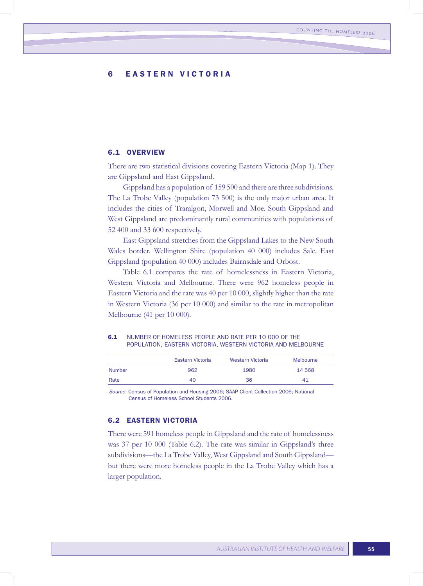# 6 EASTERN VICTORIA

## 6.1 OVERVIEW

There are two statistical divisions covering Eastern Victoria (Map 1). They are Gippsland and East Gippsland.

Gippsland has a population of 159 500 and there are three subdivisions. The La Trobe Valley (population 73 500) is the only major urban area. It includes the cities of Traralgon, Morwell and Moe. South Gippsland and West Gippsland are predominantly rural communities with populations of 52 400 and 33 600 respectively.

East Gippsland stretches from the Gippsland Lakes to the New South Wales border. Wellington Shire (population 40 000) includes Sale. East Gippsland (population 40 000) includes Bairnsdale and Orbost.

Table 6.1 compares the rate of homelessness in Eastern Victoria, Western Victoria and Melbourne. There were 962 homeless people in Eastern Victoria and the rate was 40 per 10 000, slightly higher than the rate in Western Victoria (36 per 10 000) and similar to the rate in metropolitan Melbourne (41 per 10 000).

| 6.1 | NUMBER OF HOMELESS PEOPLE AND RATE PER 10 000 OF THE         |
|-----|--------------------------------------------------------------|
|     | POPULATION, EASTERN VICTORIA, WESTERN VICTORIA AND MELBOURNE |

|               | Eastern Victoria | Western Victoria | Melbourne |
|---------------|------------------|------------------|-----------|
| <b>Number</b> | 962              | 1980             | 14 5 68   |
| Rate          | 40               | 36               | 41        |
|               |                  |                  |           |

*Source*: Census of Population and Housing 2006; SAAP Client Collection 2006; National Census of Homeless School Students 2006.

# 6.2 EASTERN VICTORIA

There were 591 homeless people in Gippsland and the rate of homelessness was 37 per 10 000 (Table 6.2). The rate was similar in Gippsland's three subdivisions—the La Trobe Valley, West Gippsland and South Gippsland but there were more homeless people in the La Trobe Valley which has a larger population.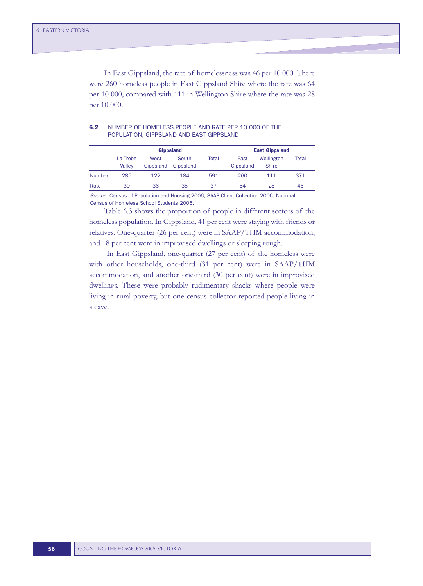In East Gippsland, the rate of homelessness was 46 per 10 000. There were 260 homeless people in East Gippsland Shire where the rate was 64 per 10 000, compared with 111 in Wellington Shire where the rate was 28 per 10 000.

|               |                    |                   | <b>Gippsland</b>   | <b>East Gippsland</b> |                   |                            |       |
|---------------|--------------------|-------------------|--------------------|-----------------------|-------------------|----------------------------|-------|
|               | La Trobe<br>Vallev | West<br>Gippsland | South<br>Gippsland | Total                 | East<br>Gippsland | Wellington<br><b>Shire</b> | Total |
| <b>Number</b> | 285                | 122               | 184                | 591                   | 260               | 111                        | 371   |
| Rate          | 39                 | 36                | 35                 | 37                    | 64                | 28                         | 46    |

## 6.2 NUMBER OF HOMELESS PEOPLE AND RATE PER 10 000 OF THE POPULATION, GIPPSLAND AND EAST GIPPSLAND

*Source*: Census of Population and Housing 2006; SAAP Client Collection 2006; National Census of Homeless School Students 2006.

Table 6.3 shows the proportion of people in different sectors of the homeless population. In Gippsland, 41 per cent were staying with friends or relatives. One-quarter (26 per cent) were in SAAP/THM accommodation, and 18 per cent were in improvised dwellings or sleeping rough.

In East Gippsland, one-quarter (27 per cent) of the homeless were with other households, one-third (31 per cent) were in SAAP/THM accommodation, and another one-third (30 per cent) were in improvised dwellings. These were probably rudimentary shacks where people were living in rural poverty, but one census collector reported people living in a cave.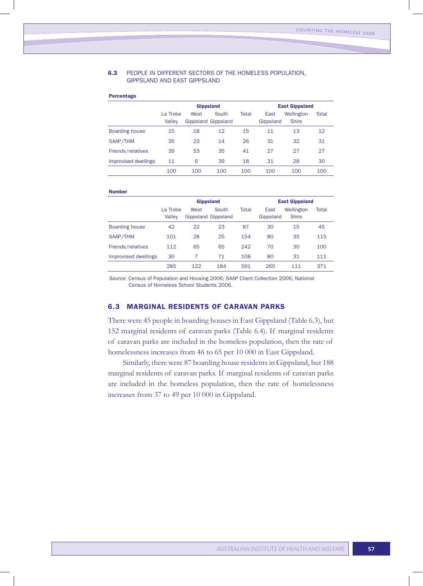### 6.3 PEOPLE IN DIFFERENT SECTORS OF THE HOMELESS POPULATION, GIPPSLAND AND EAST GIPPSLAND

### Percentage

|                       | <b>Gippsland</b>   |      |                              |       | <b>East Gippsland</b> |                            |       |  |
|-----------------------|--------------------|------|------------------------------|-------|-----------------------|----------------------------|-------|--|
|                       | La Trobe<br>Valley | West | South<br>Gippsland Gippsland | Total | East<br>Gippsland     | Wellington<br><b>Shire</b> | Total |  |
| <b>Boarding house</b> | 15                 | 18   | 12                           | 15    | 11                    | 13                         | 12    |  |
| SAAP/THM              | 35                 | 23   | 14                           | 26    | 31                    | 32                         | 31    |  |
| Friends/relatives     | 39                 | 53   | 35                           | 41    | 27                    | 27                         | 27    |  |
| Improvised dwellings  | 11                 | 6    | 39                           | 18    | 31                    | 28                         | 30    |  |
|                       | 100                | 100  | 100                          | 100   | 100                   | 100                        | 100   |  |

#### Number

|                       | <b>Gippsland</b>   |      |                              |       | <b>East Gippsland</b> |                            |       |  |
|-----------------------|--------------------|------|------------------------------|-------|-----------------------|----------------------------|-------|--|
|                       | La Trobe<br>Valley | West | South<br>Gippsland Gippsland | Total | East<br>Gippsland     | Wellington<br><b>Shire</b> | Total |  |
| <b>Boarding house</b> | 42                 | 22   | 23                           | 87    | 30                    | 15                         | 45    |  |
| SAAP/THM              | 101                | 28   | 25                           | 154   | 80                    | 35                         | 115   |  |
| Friends/relatives     | 112                | 65   | 65                           | 242   | 70                    | 30                         | 100   |  |
| Improvised dwellings  | 30                 | 7    | 71                           | 108   | 80                    | 31                         | 111   |  |
|                       | 285                | 122  | 184                          | 591   | 260                   | 111                        | 371   |  |
|                       |                    |      |                              |       |                       |                            |       |  |

*Source*: Census of Population and Housing 2006; SAAP Client Collection 2006; National Census of Homeless School Students 2006.

# 6.3 MARGINAL RESIDENTS OF CARAVAN PARKS

There were 45 people in boarding houses in East Gippsland (Table 6.3), but 152 marginal residents of caravan parks (Table 6.4). If marginal residents of caravan parks are included in the homeless population, then the rate of homelessness increases from 46 to 65 per 10 000 in East Gippsland.

Similarly, there were 87 boarding house residents in Gippsland, but 188 marginal residents of caravan parks. If marginal residents of caravan parks are included in the homeless population, then the rate of homelessness increases from 37 to 49 per 10 000 in Gippsland.